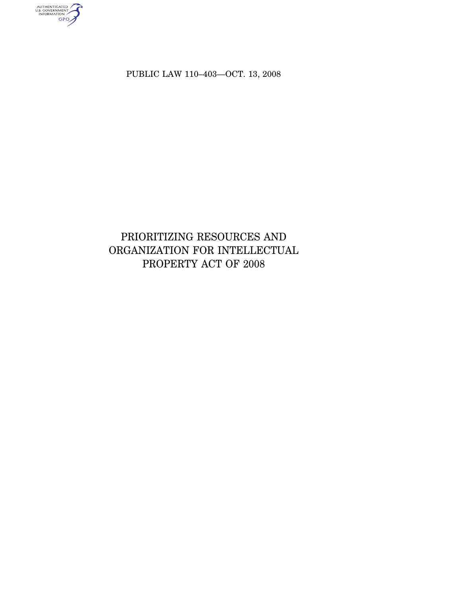PUBLIC LAW 110–403—OCT. 13, 2008

authenticated<br>u.s. government<br>information<br>GPO

# PRIORITIZING RESOURCES AND ORGANIZATION FOR INTELLECTUAL PROPERTY ACT OF 2008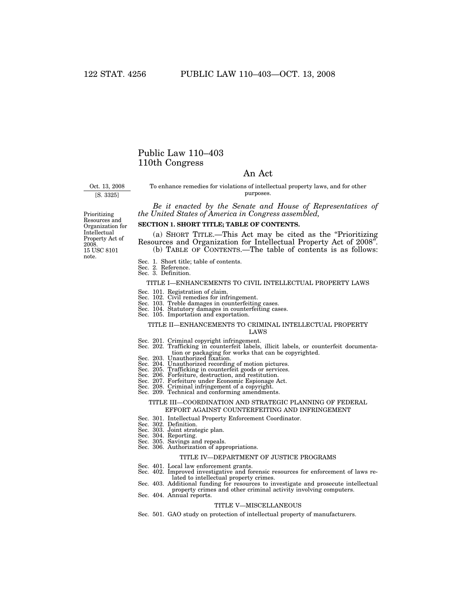## Public Law 110–403 110th Congress

### An Act

Oct. 13, 2008

[S. 3325]

To enhance remedies for violations of intellectual property laws, and for other purposes.

*Be it enacted by the Senate and House of Representatives of the United States of America in Congress assembled,* 

15 USC 8101 note. Prioritizing Resources and Organization for Intellectual Property Act of 2008.

### **SECTION 1. SHORT TITLE; TABLE OF CONTENTS.**

(a) SHORT TITLE.—This Act may be cited as the ''Prioritizing Resources and Organization for Intellectual Property Act of 2008''. (b) TABLE OF CONTENTS.—The table of contents is as follows:

Sec. 1. Short title; table of contents.

Sec. 2. Reference. Sec. 3. Definition.

### TITLE I—ENHANCEMENTS TO CIVIL INTELLECTUAL PROPERTY LAWS

Sec. 101. Registration of claim.

- 
- Sec. 102. Civil remedies for infringement. Sec. 103. Treble damages in counterfeiting cases. Sec. 104. Statutory damages in counterfeiting cases. Sec. 105. Importation and exportation.
- 
- 

### TITLE II—ENHANCEMENTS TO CRIMINAL INTELLECTUAL PROPERTY LAWS

- 
- Sec. 201. Criminal copyright infringement. Sec. 202. Trafficking in counterfeit labels, illicit labels, or counterfeit documentation or packaging for works that can be copyrighted. Sec. 203. Unauthorized fixation.
- 
- Sec. 204. Unauthorized recording of motion pictures.<br>Sec. 205. Trafficking in counterfeit goods or services.<br>Sec. 206. Forfeiture, destruction, and restitution.<br>Sec. 207. Forfeiture under Economic Espionage Act.<br>Sec. 208.
- 
- 
- 
- 
- 

### TITLE III—COORDINATION AND STRATEGIC PLANNING OF FEDERAL EFFORT AGAINST COUNTERFEITING AND INFRINGEMENT

- Sec. 301. Intellectual Property Enforcement Coordinator. Sec. 302. Definition.
- 
- Sec. 303. Joint strategic plan. Sec. 304. Reporting.
- 
- Sec. 305. Savings and repeals.
- Sec. 306. Authorization of appropriations.

#### TITLE IV—DEPARTMENT OF JUSTICE PROGRAMS

- Sec. 401. Local law enforcement grants.
- Sec. 402. Improved investigative and forensic resources for enforcement of laws re-
- lated to intellectual property crimes. Sec. 403. Additional funding for resources to investigate and prosecute intellectual property crimes and other criminal activity involving computers.
- Sec. 404. Annual reports.

### TITLE V—MISCELLANEOUS

Sec. 501. GAO study on protection of intellectual property of manufacturers.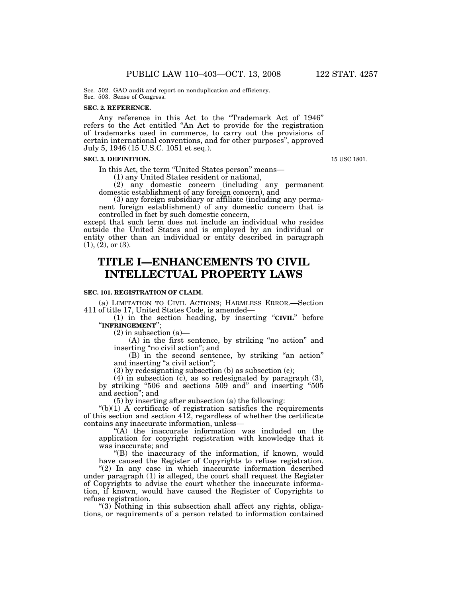### **SEC. 2. REFERENCE.**

Any reference in this Act to the ''Trademark Act of 1946'' refers to the Act entitled ''An Act to provide for the registration of trademarks used in commerce, to carry out the provisions of certain international conventions, and for other purposes'', approved July 5, 1946 (15 U.S.C. 1051 et seq.).

### **SEC. 3. DEFINITION.**

In this Act, the term ''United States person'' means—

(1) any United States resident or national,

(2) any domestic concern (including any permanent domestic establishment of any foreign concern), and

(3) any foreign subsidiary or affiliate (including any permanent foreign establishment) of any domestic concern that is controlled in fact by such domestic concern,

except that such term does not include an individual who resides outside the United States and is employed by an individual or entity other than an individual or entity described in paragraph  $(1), (2),$  or  $(3).$ 

# **TITLE I—ENHANCEMENTS TO CIVIL INTELLECTUAL PROPERTY LAWS**

### **SEC. 101. REGISTRATION OF CLAIM.**

(a) LIMITATION TO CIVIL ACTIONS; HARMLESS ERROR.—Section 411 of title 17, United States Code, is amended—

(1) in the section heading, by inserting ''**CIVIL**'' before ''**INFRINGEMENT**'';

 $(2)$  in subsection  $(a)$ —

(A) in the first sentence, by striking "no action" and inserting ''no civil action''; and

(B) in the second sentence, by striking ''an action'' and inserting "a civil action";

(3) by redesignating subsection (b) as subsection (c);

(4) in subsection (c), as so redesignated by paragraph (3), by striking ''506 and sections 509 and'' and inserting ''505 and section''; and

(5) by inserting after subsection (a) the following:

 $\mathcal{L}(b)(1)$  A certificate of registration satisfies the requirements of this section and section 412, regardless of whether the certificate contains any inaccurate information, unless—

''(A) the inaccurate information was included on the application for copyright registration with knowledge that it was inaccurate; and

''(B) the inaccuracy of the information, if known, would have caused the Register of Copyrights to refuse registration.

"(2) In any case in which inaccurate information described under paragraph (1) is alleged, the court shall request the Register of Copyrights to advise the court whether the inaccurate information, if known, would have caused the Register of Copyrights to refuse registration.

"(3) Nothing in this subsection shall affect any rights, obligations, or requirements of a person related to information contained

15 USC 1801.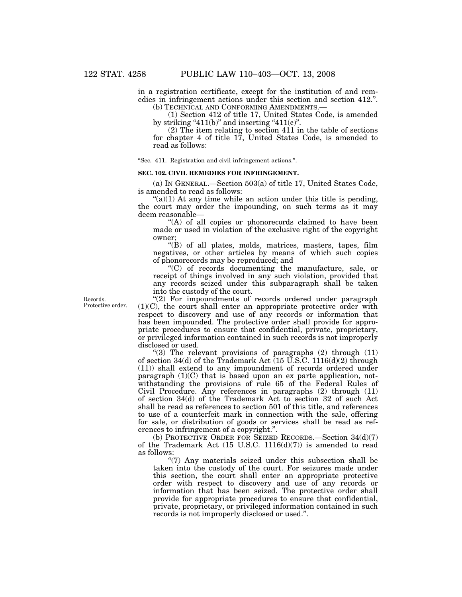in a registration certificate, except for the institution of and remedies in infringement actions under this section and section 412.''. (b) TECHNICAL AND CONFORMING AMENDMENTS.—

(1) Section 412 of title 17, United States Code, is amended by striking " $411(b)$ " and inserting " $411(c)$ ".

(2) The item relating to section 411 in the table of sections for chapter 4 of title 17, United States Code, is amended to read as follows:

''Sec. 411. Registration and civil infringement actions.''.

### **SEC. 102. CIVIL REMEDIES FOR INFRINGEMENT.**

(a) IN GENERAL.—Section 503(a) of title 17, United States Code, is amended to read as follows:

 $\mathcal{L}(a)(1)$  At any time while an action under this title is pending, the court may order the impounding, on such terms as it may deem reasonable—

"(A) of all copies or phonorecords claimed to have been made or used in violation of the exclusive right of the copyright owner;

''(B) of all plates, molds, matrices, masters, tapes, film negatives, or other articles by means of which such copies of phonorecords may be reproduced; and

''(C) of records documenting the manufacture, sale, or receipt of things involved in any such violation, provided that any records seized under this subparagraph shall be taken into the custody of the court.

"(2) For impoundments of records ordered under paragraph (1)(C), the court shall enter an appropriate protective order with respect to discovery and use of any records or information that has been impounded. The protective order shall provide for appropriate procedures to ensure that confidential, private, proprietary, or privileged information contained in such records is not improperly disclosed or used.

"(3) The relevant provisions of paragraphs  $(2)$  through  $(11)$ of section 34(d) of the Trademark Act  $(15 \text{ U.S.C. } 1116(d)(2)$  through (11)) shall extend to any impoundment of records ordered under paragraph  $(1)(C)$  that is based upon an ex parte application, notwithstanding the provisions of rule 65 of the Federal Rules of Civil Procedure. Any references in paragraphs (2) through (11) of section 34(d) of the Trademark Act to section 32 of such Act shall be read as references to section 501 of this title, and references to use of a counterfeit mark in connection with the sale, offering for sale, or distribution of goods or services shall be read as references to infringement of a copyright.''.

(b) PROTECTIVE ORDER FOR SEIZED RECORDS.—Section 34(d)(7) of the Trademark Act  $(15 \text{ U.S.C. } 1116(d)(7))$  is amended to read as follows:

''(7) Any materials seized under this subsection shall be taken into the custody of the court. For seizures made under this section, the court shall enter an appropriate protective order with respect to discovery and use of any records or information that has been seized. The protective order shall provide for appropriate procedures to ensure that confidential, private, proprietary, or privileged information contained in such records is not improperly disclosed or used.''.

Records. Protective order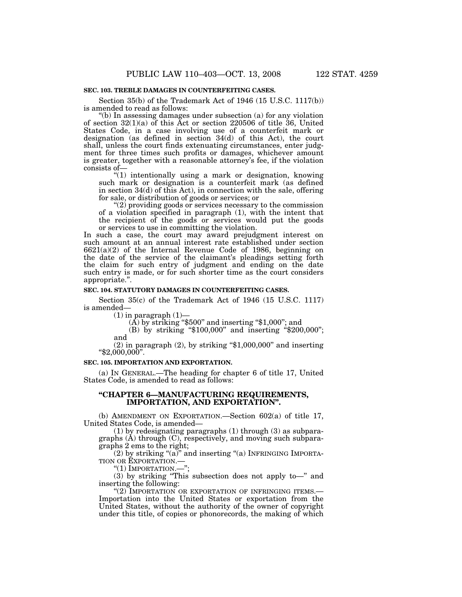### **SEC. 103. TREBLE DAMAGES IN COUNTERFEITING CASES.**

Section 35(b) of the Trademark Act of 1946 (15 U.S.C. 1117(b)) is amended to read as follows:

''(b) In assessing damages under subsection (a) for any violation of section  $32(1)(a)$  of this Act or section 220506 of title 36, United States Code, in a case involving use of a counterfeit mark or designation (as defined in section 34(d) of this Act), the court shall, unless the court finds extenuating circumstances, enter judgment for three times such profits or damages, whichever amount is greater, together with a reasonable attorney's fee, if the violation consists of—

''(1) intentionally using a mark or designation, knowing such mark or designation is a counterfeit mark (as defined in section 34(d) of this Act), in connection with the sale, offering for sale, or distribution of goods or services; or

''(2) providing goods or services necessary to the commission of a violation specified in paragraph (1), with the intent that the recipient of the goods or services would put the goods or services to use in committing the violation.

In such a case, the court may award prejudgment interest on such amount at an annual interest rate established under section 6621(a)(2) of the Internal Revenue Code of 1986, beginning on the date of the service of the claimant's pleadings setting forth the claim for such entry of judgment and ending on the date such entry is made, or for such shorter time as the court considers appropriate.''.

### **SEC. 104. STATUTORY DAMAGES IN COUNTERFEITING CASES.**

Section 35(c) of the Trademark Act of 1946 (15 U.S.C. 1117) is amended—

(1) in paragraph  $(1)$ —<br>(A) by striking "\$500" and inserting "\$1,000"; and

(B) by striking ''\$100,000'' and inserting ''\$200,000''; and

(2) in paragraph (2), by striking " $$1,000,000"$  and inserting " $$2,000,000"$ .

### **SEC. 105. IMPORTATION AND EXPORTATION.**

(a) IN GENERAL.—The heading for chapter 6 of title 17, United States Code, is amended to read as follows:

### **''CHAPTER 6—MANUFACTURING REQUIREMENTS, IMPORTATION, AND EXPORTATION''.**

(b) AMENDMENT ON EXPORTATION.—Section 602(a) of title 17, United States Code, is amended—

(1) by redesignating paragraphs (1) through (3) as subparagraphs (A) through (C), respectively, and moving such subparagraphs 2 ems to the right;

(2) by striking " $(a)$ " and inserting " $(a)$  INFRINGING IMPORTA-TION OR EXPORTATION.—

"(1) IMPORTATION.—";

(3) by striking ''This subsection does not apply to—'' and inserting the following:

"(2) IMPORTATION OR EXPORTATION OF INFRINGING ITEMS.-Importation into the United States or exportation from the United States, without the authority of the owner of copyright under this title, of copies or phonorecords, the making of which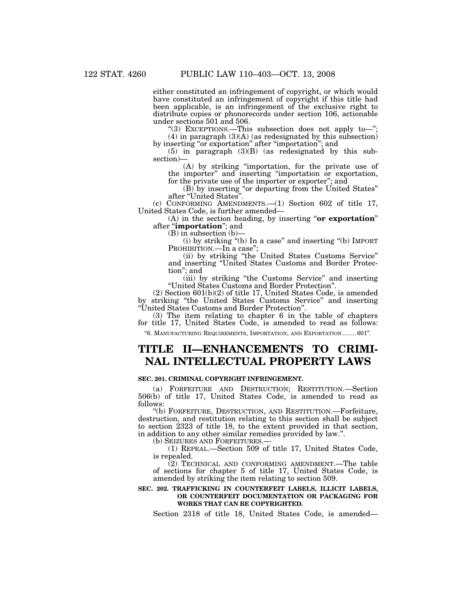either constituted an infringement of copyright, or which would have constituted an infringement of copyright if this title had been applicable, is an infringement of the exclusive right to distribute copies or phonorecords under section 106, actionable under sections 501 and 506.

"(3) EXCEPTIONS.—This subsection does not apply to—";  $(4)$  in paragraph  $(3)(A)$  (as redesignated by this subsection) by inserting "or exportation" after "importation"; and

(5) in paragraph (3)(B) (as redesignated by this subsection)—

(A) by striking ''importation, for the private use of the importer'' and inserting ''importation or exportation, for the private use of the importer or exporter''; and

(B) by inserting ''or departing from the United States'' after ''United States''.

(c) CONFORMING AMENDMENTS.—(1) Section 602 of title 17, United States Code, is further amended—

(A) in the section heading, by inserting ''**or exportation**'' after ''**importation**''; and

(B) in subsection (b)—

(i) by striking ''(b) In a case'' and inserting ''(b) IMPORT PROHIBITION.—In a case";

(ii) by striking "the United States Customs Service" and inserting ''United States Customs and Border Protection''; and

(iii) by striking ''the Customs Service'' and inserting ''United States Customs and Border Protection''.

(2) Section 601(b)(2) of title 17, United States Code, is amended by striking ''the United States Customs Service'' and inserting ''United States Customs and Border Protection''.

(3) The item relating to chapter 6 in the table of chapters for title 17, United States Code, is amended to read as follows:

''6. MANUFACTURING REQUIREMENTS, IMPORTATION, AND EXPORTATION ........ 601''.

# **TITLE II—ENHANCEMENTS TO CRIMI-NAL INTELLECTUAL PROPERTY LAWS**

### **SEC. 201. CRIMINAL COPYRIGHT INFRINGEMENT.**

(a) FORFEITURE AND DESTRUCTION; RESTITUTION.—Section 506(b) of title 17, United States Code, is amended to read as follows:

''(b) FORFEITURE, DESTRUCTION, AND RESTITUTION.—Forfeiture, destruction, and restitution relating to this section shall be subject to section 2323 of title 18, to the extent provided in that section, in addition to any other similar remedies provided by law.''.

 $(1)$  REPEAL.—Section 509 of title 17, United States Code, is repealed.

 $(2)$  TECHNICAL AND CONFORMING AMENDMENT.—The table of sections for chapter 5 of title 17, United States Code, is amended by striking the item relating to section 509.

### **SEC. 202. TRAFFICKING IN COUNTERFEIT LABELS, ILLICIT LABELS, OR COUNTERFEIT DOCUMENTATION OR PACKAGING FOR WORKS THAT CAN BE COPYRIGHTED.**

Section 2318 of title 18, United States Code, is amended—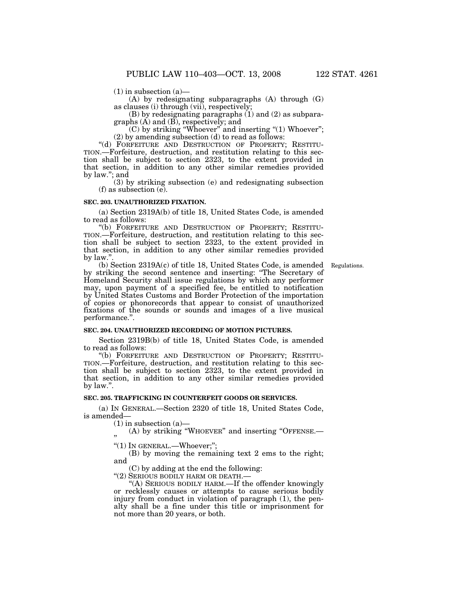$(1)$  in subsection  $(a)$ —

(A) by redesignating subparagraphs (A) through (G) as clauses (i) through (vii), respectively;

(B) by redesignating paragraphs (1) and (2) as subparagraphs (A) and (B), respectively; and

(C) by striking ''Whoever'' and inserting ''(1) Whoever'';

(2) by amending subsection  $(d)$  to read as follows:<br>"(d) FORFEITURE AND DESTRUCTION OF PROPERTY; RESTITU-TION.—Forfeiture, destruction, and restitution relating to this section shall be subject to section 2323, to the extent provided in that section, in addition to any other similar remedies provided by law.''; and

(3) by striking subsection (e) and redesignating subsection (f) as subsection (e).

### **SEC. 203. UNAUTHORIZED FIXATION.**

(a) Section 2319A(b) of title 18, United States Code, is amended to read as follows:

"(b) FORFEITURE AND DESTRUCTION OF PROPERTY; RESTITU-TION.—Forfeiture, destruction, and restitution relating to this section shall be subject to section 2323, to the extent provided in that section, in addition to any other similar remedies provided by law."

Regulations.

(b) Section 2319A(c) of title 18, United States Code, is amended by striking the second sentence and inserting: ''The Secretary of Homeland Security shall issue regulations by which any performer may, upon payment of a specified fee, be entitled to notification by United States Customs and Border Protection of the importation of copies or phonorecords that appear to consist of unauthorized fixations of the sounds or sounds and images of a live musical performance.''.

### **SEC. 204. UNAUTHORIZED RECORDING OF MOTION PICTURES.**

Section 2319B(b) of title 18, United States Code, is amended to read as follows:

"(b) FORFEITURE AND DESTRUCTION OF PROPERTY; RESTITU-TION.—Forfeiture, destruction, and restitution relating to this section shall be subject to section 2323, to the extent provided in that section, in addition to any other similar remedies provided by law.''.

### **SEC. 205. TRAFFICKING IN COUNTERFEIT GOODS OR SERVICES.**

(a) IN GENERAL.—Section 2320 of title 18, United States Code, is amended—

 $(1)$  in subsection  $(a)$ —

(A) by striking "WHOEVER" and inserting "OFFENSE.-''

"(1) IN GENERAL.—Whoever;";

(B) by moving the remaining text 2 ems to the right; and

(C) by adding at the end the following:

"(2) SERIOUS BODILY HARM OR DEATH.-

''(A) SERIOUS BODILY HARM.—If the offender knowingly or recklessly causes or attempts to cause serious bodily injury from conduct in violation of paragraph (1), the penalty shall be a fine under this title or imprisonment for not more than 20 years, or both.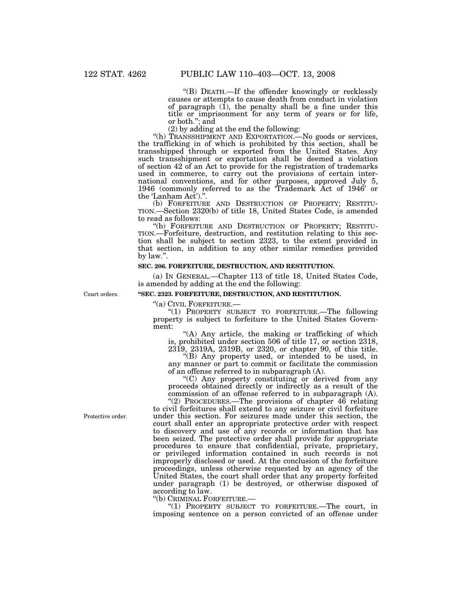''(B) DEATH.—If the offender knowingly or recklessly causes or attempts to cause death from conduct in violation of paragraph  $(1)$ , the penalty shall be a fine under this title or imprisonment for any term of years or for life, or both.''; and

(2) by adding at the end the following:

"(h) TRANSSHIPMENT AND EXPORTATION.—No goods or services, the trafficking in of which is prohibited by this section, shall be transshipped through or exported from the United States. Any such transshipment or exportation shall be deemed a violation of section 42 of an Act to provide for the registration of trademarks used in commerce, to carry out the provisions of certain international conventions, and for other purposes, approved July 5, 1946 (commonly referred to as the 'Trademark Act of 1946' or

the 'Lanham Act').".<br>(b) FORFEITURE AND DESTRUCTION OF PROPERTY; RESTITU-TION.—Section 2320(b) of title 18, United States Code, is amended to read as follows:<br>"(b) FORFEITURE AND DESTRUCTION OF PROPERTY; RESTITU-

TION.—Forfeiture, destruction, and restitution relating to this section shall be subject to section 2323, to the extent provided in that section, in addition to any other similar remedies provided by law.''.

### **SEC. 206. FORFEITURE, DESTRUCTION, AND RESTITUTION.**

(a) IN GENERAL.—Chapter 113 of title 18, United States Code, is amended by adding at the end the following:

Court orders.

### **''SEC. 2323. FORFEITURE, DESTRUCTION, AND RESTITUTION.**

''(a) CIVIL FORFEITURE.— ''(1) PROPERTY SUBJECT TO FORFEITURE.—The following property is subject to forfeiture to the United States Government:

''(A) Any article, the making or trafficking of which is, prohibited under section 506 of title 17, or section 2318,

2319, 2319A, 2319B, or 2320, or chapter 90, of this title. ''(B) Any property used, or intended to be used, in any manner or part to commit or facilitate the commission

of an offense referred to in subparagraph (A). ''(C) Any property constituting or derived from any

proceeds obtained directly or indirectly as a result of the commission of an offense referred to in subparagraph (A).

"(2) PROCEDURES.—The provisions of chapter 46 relating to civil forfeitures shall extend to any seizure or civil forfeiture under this section. For seizures made under this section, the court shall enter an appropriate protective order with respect to discovery and use of any records or information that has been seized. The protective order shall provide for appropriate procedures to ensure that confidential, private, proprietary, or privileged information contained in such records is not improperly disclosed or used. At the conclusion of the forfeiture proceedings, unless otherwise requested by an agency of the United States, the court shall order that any property forfeited under paragraph (1) be destroyed, or otherwise disposed of according to law.<br>"(b) CRIMINAL FORFEITURE.—

 $!(1)$  PROPERTY SUBJECT TO FORFEITURE.—The court, in imposing sentence on a person convicted of an offense under

Protective order.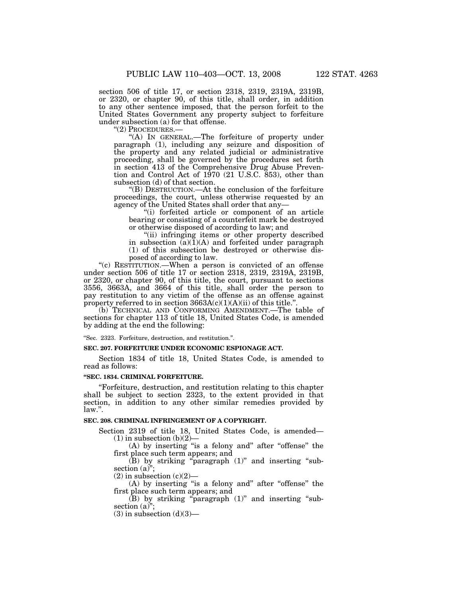section 506 of title 17, or section 2318, 2319, 2319A, 2319B, or 2320, or chapter 90, of this title, shall order, in addition to any other sentence imposed, that the person forfeit to the United States Government any property subject to forfeiture under subsection (a) for that offense.<br>
"(2) PROCEDURES.—

"(A) IN GENERAL.—The forfeiture of property under paragraph (1), including any seizure and disposition of the property and any related judicial or administrative proceeding, shall be governed by the procedures set forth in section 413 of the Comprehensive Drug Abuse Prevention and Control Act of 1970 (21 U.S.C. 853), other than subsection (d) of that section.

''(B) DESTRUCTION.—At the conclusion of the forfeiture proceedings, the court, unless otherwise requested by an agency of the United States shall order that any—

''(i) forfeited article or component of an article bearing or consisting of a counterfeit mark be destroyed or otherwise disposed of according to law; and

"(ii) infringing items or other property described in subsection  $(a)(1)(A)$  and forfeited under paragraph (1) of this subsection be destroyed or otherwise disposed of according to law.

"(c) RESTITUTION.—When a person is convicted of an offense under section 506 of title 17 or section 2318, 2319, 2319A, 2319B, or 2320, or chapter 90, of this title, the court, pursuant to sections 3556, 3663A, and 3664 of this title, shall order the person to pay restitution to any victim of the offense as an offense against property referred to in section  $3663A(c)(1)(A)(ii)$  of this title.".

(b) TECHNICAL AND CONFORMING AMENDMENT.—The table of sections for chapter 113 of title 18, United States Code, is amended by adding at the end the following:

''Sec. 2323. Forfeiture, destruction, and restitution.''.

### **SEC. 207. FORFEITURE UNDER ECONOMIC ESPIONAGE ACT.**

Section 1834 of title 18, United States Code, is amended to read as follows:

### **''SEC. 1834. CRIMINAL FORFEITURE.**

''Forfeiture, destruction, and restitution relating to this chapter shall be subject to section 2323, to the extent provided in that section, in addition to any other similar remedies provided by law.''.

### **SEC. 208. CRIMINAL INFRINGEMENT OF A COPYRIGHT.**

Section 2319 of title 18, United States Code, is amended—  $(1)$  in subsection  $(b)(2)$ —

(A) by inserting "is a felony and" after "offense" the first place such term appears; and

(B) by striking ''paragraph (1)'' and inserting ''subsection (a)";

 $(2)$  in subsection  $(c)(2)$ —

(A) by inserting "is a felony and" after "offense" the first place such term appears; and

 $(B)$  by striking "paragraph  $(1)$ " and inserting "subsection (a)";

 $(3)$  in subsection  $(d)(3)$ —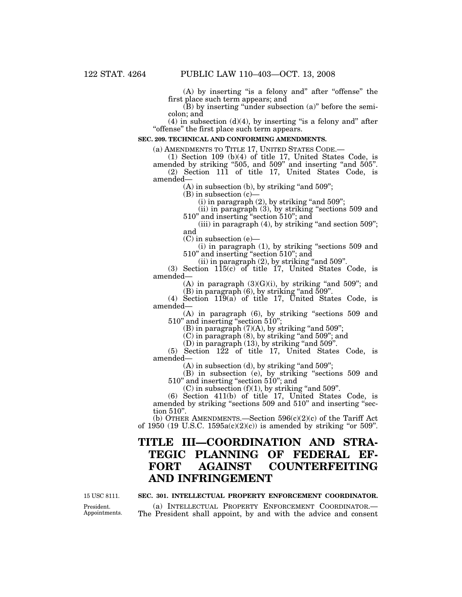(A) by inserting ''is a felony and'' after ''offense'' the first place such term appears; and

(B) by inserting ''under subsection (a)'' before the semicolon; and

 $(4)$  in subsection  $(d)(4)$ , by inserting "is a felony and" after ''offense'' the first place such term appears.

### **SEC. 209. TECHNICAL AND CONFORMING AMENDMENTS.**

(a) AMENDMENTS TO TITLE 17, UNITED STATES CODE.— (1) Section 109 (b)(4) of title 17, United States Code, is amended by striking "505, and 509" and inserting "and 505".

(2) Section 111 of title 17, United States Code, is amended—

 $(A)$  in subsection  $(b)$ , by striking "and 509";

 $(B)$  in subsection  $(c)$ 

 $(i)$  in paragraph  $(2)$ , by striking "and  $509$ ";

(ii) in paragraph (3), by striking ''sections 509 and 510'' and inserting ''section 510''; and

(iii) in paragraph  $(4)$ , by striking "and section  $509$ "; and

(C) in subsection (e)—

(i) in paragraph (1), by striking ''sections 509 and 510'' and inserting ''section 510''; and

 $(iii)$  in paragraph  $(2)$ , by striking "and  $509$ ".

(3) Section 115(c) of title 17, United States Code, is amended—

(A) in paragraph  $(3)(G)(i)$ , by striking "and 509"; and  $(B)$  in paragraph  $(6)$ , by striking "and  $509$ ".

(4) Section 119(a) of title 17, United States Code, is amended—

(A) in paragraph (6), by striking ''sections 509 and 510'' and inserting ''section 510'';

(B) in paragraph  $(7)(A)$ , by striking "and 509";

 $(C)$  in paragraph  $(8)$ , by striking "and  $509$ "; and

 $(D)$  in paragraph  $(13)$ , by striking "and  $509$ ".

(5) Section 122 of title 17, United States Code, is amended—

 $(A)$  in subsection  $(d)$ , by striking "and 509";

(B) in subsection (e), by striking ''sections 509 and 510'' and inserting ''section 510''; and

 $(C)$  in subsection  $(f)(1)$ , by striking "and 509".

(6) Section 411(b) of title 17, United States Code, is amended by striking "sections 509 and 510" and inserting "section 510''.

(b) OTHER AMENDMENTS.—Section  $596(c)(2)(c)$  of the Tariff Act of 1950 (19 U.S.C. 1595a(c)(2)(c)) is amended by striking "or 509".

# **TITLE III—COORDINATION AND STRA-TEGIC PLANNING OF FEDERAL EF-FORT AGAINST COUNTERFEITING AND INFRINGEMENT**

15 USC 8111.

### **SEC. 301. INTELLECTUAL PROPERTY ENFORCEMENT COORDINATOR.**

(a) INTELLECTUAL PROPERTY ENFORCEMENT COORDINATOR.— The President shall appoint, by and with the advice and consent

President. Appointments.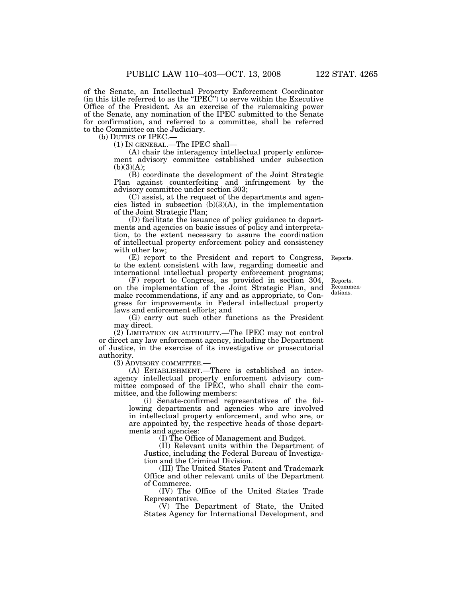of the Senate, an Intellectual Property Enforcement Coordinator (in this title referred to as the ''IPEC'') to serve within the Executive Office of the President. As an exercise of the rulemaking power of the Senate, any nomination of the IPEC submitted to the Senate for confirmation, and referred to a committee, shall be referred to the Committee on the Judiciary.

(b) DUTIES OF IPEC.—

(1) IN GENERAL.—The IPEC shall—

(A) chair the interagency intellectual property enforcement advisory committee established under subsection  $(b)(3)(A);$ 

(B) coordinate the development of the Joint Strategic Plan against counterfeiting and infringement by the advisory committee under section 303;

(C) assist, at the request of the departments and agencies listed in subsection  $(b)(3)(A)$ , in the implementation of the Joint Strategic Plan;

(D) facilitate the issuance of policy guidance to departments and agencies on basic issues of policy and interpretation, to the extent necessary to assure the coordination of intellectual property enforcement policy and consistency with other law; (E) report to the President and report to Congress,

Reports.

international intellectual property enforcement programs; (F) report to Congress, as provided in section 304, on the implementation of the Joint Strategic Plan, and make recommendations, if any and as appropriate, to Congress for improvements in Federal intellectual property

to the extent consistent with law, regarding domestic and

laws and enforcement efforts; and

(G) carry out such other functions as the President may direct.

(2) LIMITATION ON AUTHORITY.—The IPEC may not control or direct any law enforcement agency, including the Department of Justice, in the exercise of its investigative or prosecutorial authority.

(3) ADVISORY COMMITTEE.—

(A) ESTABLISHMENT.—There is established an interagency intellectual property enforcement advisory committee composed of the IPEC, who shall chair the committee, and the following members:

(i) Senate-confirmed representatives of the following departments and agencies who are involved in intellectual property enforcement, and who are, or are appointed by, the respective heads of those departments and agencies:

(I) The Office of Management and Budget.

(II) Relevant units within the Department of Justice, including the Federal Bureau of Investigation and the Criminal Division.

(III) The United States Patent and Trademark Office and other relevant units of the Department of Commerce.

(IV) The Office of the United States Trade Representative.

(V) The Department of State, the United States Agency for International Development, and

Reports. Recommendations.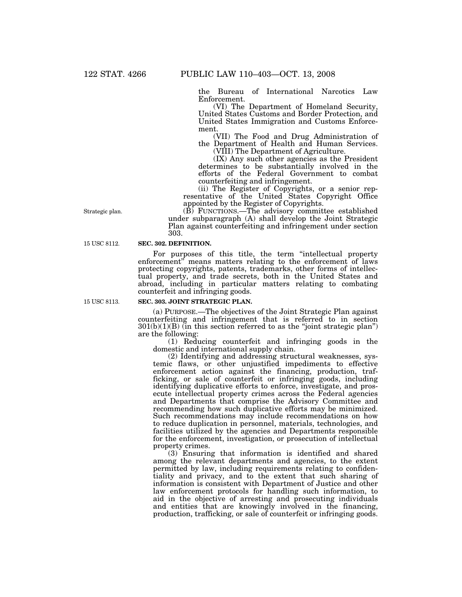the Bureau of International Narcotics Law Enforcement.

(VI) The Department of Homeland Security, United States Customs and Border Protection, and United States Immigration and Customs Enforcement.

(VII) The Food and Drug Administration of the Department of Health and Human Services. (VIII) The Department of Agriculture.

(IX) Any such other agencies as the President determines to be substantially involved in the efforts of the Federal Government to combat counterfeiting and infringement.

(ii) The Register of Copyrights, or a senior representative of the United States Copyright Office appointed by the Register of Copyrights.

(B) FUNCTIONS.—The advisory committee established under subparagraph (A) shall develop the Joint Strategic Plan against counterfeiting and infringement under section 303.

### **SEC. 302. DEFINITION.**

For purposes of this title, the term "intellectual property enforcement" means matters relating to the enforcement of laws protecting copyrights, patents, trademarks, other forms of intellectual property, and trade secrets, both in the United States and abroad, including in particular matters relating to combating counterfeit and infringing goods.

#### 15 USC 8113.

### **SEC. 303. JOINT STRATEGIC PLAN.**

(a) PURPOSE.—The objectives of the Joint Strategic Plan against counterfeiting and infringement that is referred to in section  $301(b)(1)(B)$  (in this section referred to as the "joint strategic plan") are the following:

(1) Reducing counterfeit and infringing goods in the domestic and international supply chain.

(2) Identifying and addressing structural weaknesses, systemic flaws, or other unjustified impediments to effective enforcement action against the financing, production, trafficking, or sale of counterfeit or infringing goods, including identifying duplicative efforts to enforce, investigate, and prosecute intellectual property crimes across the Federal agencies and Departments that comprise the Advisory Committee and recommending how such duplicative efforts may be minimized. Such recommendations may include recommendations on how to reduce duplication in personnel, materials, technologies, and facilities utilized by the agencies and Departments responsible for the enforcement, investigation, or prosecution of intellectual property crimes.

(3) Ensuring that information is identified and shared among the relevant departments and agencies, to the extent permitted by law, including requirements relating to confidentiality and privacy, and to the extent that such sharing of information is consistent with Department of Justice and other law enforcement protocols for handling such information, to aid in the objective of arresting and prosecuting individuals and entities that are knowingly involved in the financing, production, trafficking, or sale of counterfeit or infringing goods.

Strategic plan.

15 USC 8112.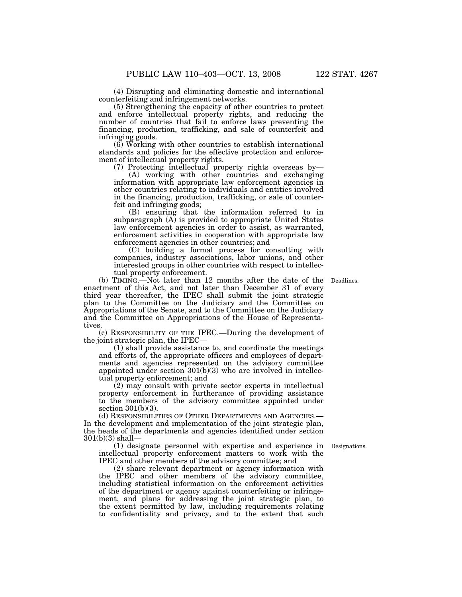(4) Disrupting and eliminating domestic and international counterfeiting and infringement networks.

(5) Strengthening the capacity of other countries to protect and enforce intellectual property rights, and reducing the number of countries that fail to enforce laws preventing the financing, production, trafficking, and sale of counterfeit and infringing goods.

(6) Working with other countries to establish international standards and policies for the effective protection and enforcement of intellectual property rights.

(7) Protecting intellectual property rights overseas by—

(A) working with other countries and exchanging information with appropriate law enforcement agencies in other countries relating to individuals and entities involved in the financing, production, trafficking, or sale of counterfeit and infringing goods;

(B) ensuring that the information referred to in subparagraph  $(A)$  is provided to appropriate United States law enforcement agencies in order to assist, as warranted, enforcement activities in cooperation with appropriate law enforcement agencies in other countries; and

(C) building a formal process for consulting with companies, industry associations, labor unions, and other interested groups in other countries with respect to intellectual property enforcement.

(b) TIMING.—Not later than 12 months after the date of the Deadlines. enactment of this Act, and not later than December 31 of every third year thereafter, the IPEC shall submit the joint strategic plan to the Committee on the Judiciary and the Committee on Appropriations of the Senate, and to the Committee on the Judiciary and the Committee on Appropriations of the House of Representatives.

(c) RESPONSIBILITY OF THE IPEC.—During the development of the joint strategic plan, the IPEC—

(1) shall provide assistance to, and coordinate the meetings and efforts of, the appropriate officers and employees of departments and agencies represented on the advisory committee appointed under section 301(b)(3) who are involved in intellectual property enforcement; and

(2) may consult with private sector experts in intellectual property enforcement in furtherance of providing assistance to the members of the advisory committee appointed under section 301(b)(3).

(d) RESPONSIBILITIES OF OTHER DEPARTMENTS AND AGENCIES.— In the development and implementation of the joint strategic plan, the heads of the departments and agencies identified under section 301(b)(3) shall—

(1) designate personnel with expertise and experience in Designations. intellectual property enforcement matters to work with the IPEC and other members of the advisory committee; and

(2) share relevant department or agency information with the IPEC and other members of the advisory committee, including statistical information on the enforcement activities of the department or agency against counterfeiting or infringement, and plans for addressing the joint strategic plan, to the extent permitted by law, including requirements relating to confidentiality and privacy, and to the extent that such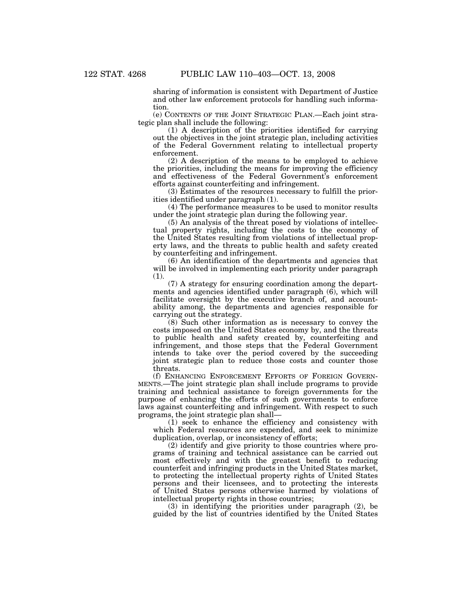sharing of information is consistent with Department of Justice and other law enforcement protocols for handling such information.

(e) CONTENTS OF THE JOINT STRATEGIC PLAN.—Each joint strategic plan shall include the following:

(1) A description of the priorities identified for carrying out the objectives in the joint strategic plan, including activities of the Federal Government relating to intellectual property enforcement.

(2) A description of the means to be employed to achieve the priorities, including the means for improving the efficiency and effectiveness of the Federal Government's enforcement efforts against counterfeiting and infringement.

(3) Estimates of the resources necessary to fulfill the priorities identified under paragraph (1).

(4) The performance measures to be used to monitor results under the joint strategic plan during the following year.

(5) An analysis of the threat posed by violations of intellectual property rights, including the costs to the economy of the United States resulting from violations of intellectual property laws, and the threats to public health and safety created by counterfeiting and infringement.

(6) An identification of the departments and agencies that will be involved in implementing each priority under paragraph (1).

(7) A strategy for ensuring coordination among the departments and agencies identified under paragraph (6), which will facilitate oversight by the executive branch of, and accountability among, the departments and agencies responsible for carrying out the strategy.

(8) Such other information as is necessary to convey the costs imposed on the United States economy by, and the threats to public health and safety created by, counterfeiting and infringement, and those steps that the Federal Government intends to take over the period covered by the succeeding joint strategic plan to reduce those costs and counter those threats.

(f) ENHANCING ENFORCEMENT EFFORTS OF FOREIGN GOVERN-MENTS.—The joint strategic plan shall include programs to provide training and technical assistance to foreign governments for the purpose of enhancing the efforts of such governments to enforce laws against counterfeiting and infringement. With respect to such programs, the joint strategic plan shall—

(1) seek to enhance the efficiency and consistency with which Federal resources are expended, and seek to minimize duplication, overlap, or inconsistency of efforts;

(2) identify and give priority to those countries where programs of training and technical assistance can be carried out most effectively and with the greatest benefit to reducing counterfeit and infringing products in the United States market, to protecting the intellectual property rights of United States persons and their licensees, and to protecting the interests of United States persons otherwise harmed by violations of intellectual property rights in those countries;

(3) in identifying the priorities under paragraph (2), be guided by the list of countries identified by the United States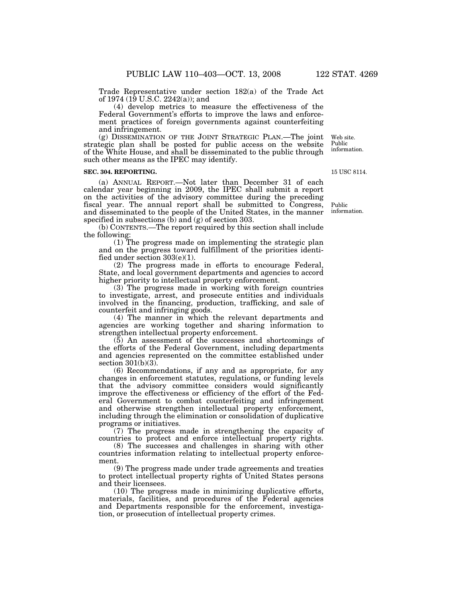Trade Representative under section 182(a) of the Trade Act of 1974 (19 U.S.C. 2242(a)); and

(4) develop metrics to measure the effectiveness of the Federal Government's efforts to improve the laws and enforcement practices of foreign governments against counterfeiting and infringement.

(g) DISSEMINATION OF THE JOINT STRATEGIC PLAN.—The joint strategic plan shall be posted for public access on the website of the White House, and shall be disseminated to the public through such other means as the IPEC may identify. Web site. Public

### **SEC. 304. REPORTING.**

(a) ANNUAL REPORT.—Not later than December 31 of each calendar year beginning in 2009, the IPEC shall submit a report on the activities of the advisory committee during the preceding fiscal year. The annual report shall be submitted to Congress, and disseminated to the people of the United States, in the manner specified in subsections  $(b)$  and  $(g)$  of section 303.

(b) CONTENTS.—The report required by this section shall include the following:

(1) The progress made on implementing the strategic plan and on the progress toward fulfillment of the priorities identified under section 303(e)(1).

(2) The progress made in efforts to encourage Federal, State, and local government departments and agencies to accord higher priority to intellectual property enforcement.

(3) The progress made in working with foreign countries to investigate, arrest, and prosecute entities and individuals involved in the financing, production, trafficking, and sale of counterfeit and infringing goods.

(4) The manner in which the relevant departments and agencies are working together and sharing information to strengthen intellectual property enforcement.

(5) An assessment of the successes and shortcomings of the efforts of the Federal Government, including departments and agencies represented on the committee established under section 301(b)(3).

(6) Recommendations, if any and as appropriate, for any changes in enforcement statutes, regulations, or funding levels that the advisory committee considers would significantly improve the effectiveness or efficiency of the effort of the Federal Government to combat counterfeiting and infringement and otherwise strengthen intellectual property enforcement, including through the elimination or consolidation of duplicative programs or initiatives.

(7) The progress made in strengthening the capacity of countries to protect and enforce intellectual property rights.

(8) The successes and challenges in sharing with other countries information relating to intellectual property enforcement.

(9) The progress made under trade agreements and treaties to protect intellectual property rights of United States persons and their licensees.

(10) The progress made in minimizing duplicative efforts, materials, facilities, and procedures of the Federal agencies and Departments responsible for the enforcement, investigation, or prosecution of intellectual property crimes.

Public information.

information.

15 USC 8114.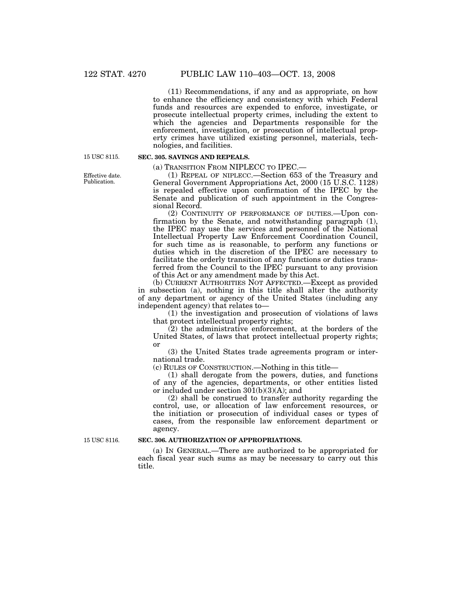(11) Recommendations, if any and as appropriate, on how to enhance the efficiency and consistency with which Federal funds and resources are expended to enforce, investigate, or prosecute intellectual property crimes, including the extent to which the agencies and Departments responsible for the enforcement, investigation, or prosecution of intellectual property crimes have utilized existing personnel, materials, technologies, and facilities.

15 USC 8115.

### **SEC. 305. SAVINGS AND REPEALS.**

(a) TRANSITION FROM NIPLECC TO IPEC.—

(1) REPEAL OF NIPLECC.—Section 653 of the Treasury and General Government Appropriations Act, 2000 (15 U.S.C. 1128) is repealed effective upon confirmation of the IPEC by the Senate and publication of such appointment in the Congressional Record.

(2) CONTINUITY OF PERFORMANCE OF DUTIES.—Upon confirmation by the Senate, and notwithstanding paragraph (1), the IPEC may use the services and personnel of the National Intellectual Property Law Enforcement Coordination Council, for such time as is reasonable, to perform any functions or duties which in the discretion of the IPEC are necessary to facilitate the orderly transition of any functions or duties transferred from the Council to the IPEC pursuant to any provision of this Act or any amendment made by this Act.

(b) CURRENT AUTHORITIES NOT AFFECTED.—Except as provided in subsection (a), nothing in this title shall alter the authority of any department or agency of the United States (including any independent agency) that relates to—

(1) the investigation and prosecution of violations of laws that protect intellectual property rights;

(2) the administrative enforcement, at the borders of the United States, of laws that protect intellectual property rights; or

(3) the United States trade agreements program or international trade.

(c) RULES OF CONSTRUCTION.—Nothing in this title—

(1) shall derogate from the powers, duties, and functions of any of the agencies, departments, or other entities listed or included under section  $30(1(b)(3)(A))$ ; and

(2) shall be construed to transfer authority regarding the control, use, or allocation of law enforcement resources, or the initiation or prosecution of individual cases or types of cases, from the responsible law enforcement department or agency.

15 USC 8116.

### **SEC. 306. AUTHORIZATION OF APPROPRIATIONS.**

(a) IN GENERAL.—There are authorized to be appropriated for each fiscal year such sums as may be necessary to carry out this title.

Effective date. Publication.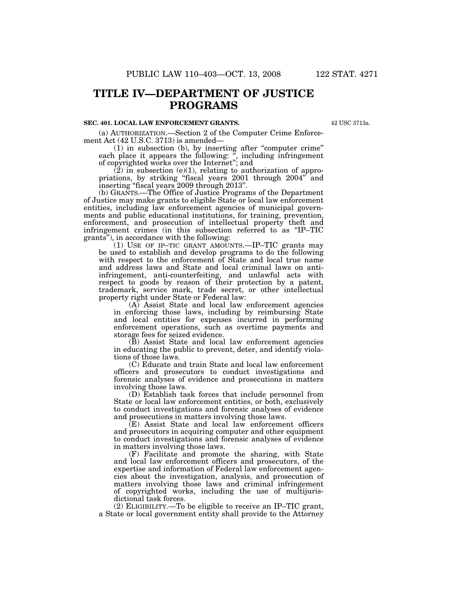# **TITLE IV—DEPARTMENT OF JUSTICE PROGRAMS**

### **SEC. 401. LOCAL LAW ENFORCEMENT GRANTS.**

42 USC 3713a.

(a) AUTHORIZATION.—Section 2 of the Computer Crime Enforcement Act (42 U.S.C. 3713) is amended—

(1) in subsection (b), by inserting after ''computer crime'' each place it appears the following: ", including infringement of copyrighted works over the Internet''; and

 $(2)$  in subsection (e)(1), relating to authorization of appropriations, by striking ''fiscal years 2001 through 2004'' and inserting ''fiscal years 2009 through 2013''.

(b) GRANTS.—The Office of Justice Programs of the Department of Justice may make grants to eligible State or local law enforcement entities, including law enforcement agencies of municipal governments and public educational institutions, for training, prevention, enforcement, and prosecution of intellectual property theft and infringement crimes (in this subsection referred to as ''IP–TIC grants''), in accordance with the following:

 $(1)$  USE OF IP–TIC GRANT AMOUNTS.—IP–TIC grants may be used to establish and develop programs to do the following with respect to the enforcement of State and local true name and address laws and State and local criminal laws on antiinfringement, anti-counterfeiting, and unlawful acts with respect to goods by reason of their protection by a patent, trademark, service mark, trade secret, or other intellectual property right under State or Federal law:

(A) Assist State and local law enforcement agencies in enforcing those laws, including by reimbursing State and local entities for expenses incurred in performing enforcement operations, such as overtime payments and storage fees for seized evidence.

(B) Assist State and local law enforcement agencies in educating the public to prevent, deter, and identify violations of those laws.

(C) Educate and train State and local law enforcement officers and prosecutors to conduct investigations and forensic analyses of evidence and prosecutions in matters involving those laws.

(D) Establish task forces that include personnel from State or local law enforcement entities, or both, exclusively to conduct investigations and forensic analyses of evidence and prosecutions in matters involving those laws.

(E) Assist State and local law enforcement officers and prosecutors in acquiring computer and other equipment to conduct investigations and forensic analyses of evidence in matters involving those laws.

(F) Facilitate and promote the sharing, with State and local law enforcement officers and prosecutors, of the expertise and information of Federal law enforcement agencies about the investigation, analysis, and prosecution of matters involving those laws and criminal infringement of copyrighted works, including the use of multijurisdictional task forces.

(2) ELIGIBILITY.—To be eligible to receive an IP–TIC grant, a State or local government entity shall provide to the Attorney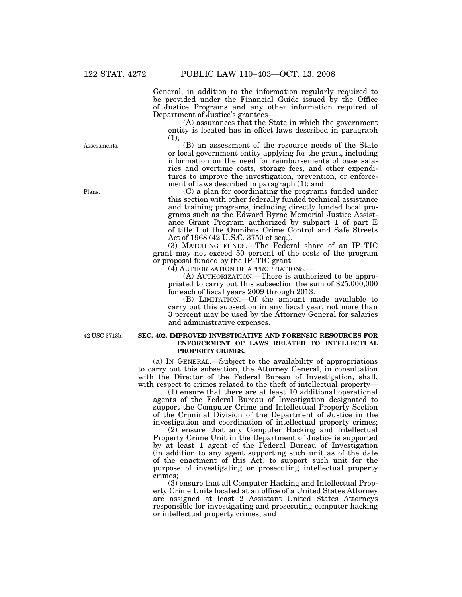General, in addition to the information regularly required to be provided under the Financial Guide issued by the Office of Justice Programs and any other information required of Department of Justice's grantees—

(A) assurances that the State in which the government entity is located has in effect laws described in paragraph (1);

(B) an assessment of the resource needs of the State or local government entity applying for the grant, including information on the need for reimbursements of base salaries and overtime costs, storage fees, and other expenditures to improve the investigation, prevention, or enforcement of laws described in paragraph  $(1)$ ; and

(C) a plan for coordinating the programs funded under this section with other federally funded technical assistance and training programs, including directly funded local programs such as the Edward Byrne Memorial Justice Assistance Grant Program authorized by subpart 1 of part E of title I of the Omnibus Crime Control and Safe Streets Act of 1968 (42 U.S.C. 3750 et seq.).

(3) MATCHING FUNDS.—The Federal share of an IP–TIC grant may not exceed 50 percent of the costs of the program or proposal funded by the IP–TIC grant.

(4) AUTHORIZATION OF APPROPRIATIONS.—

(A) AUTHORIZATION.—There is authorized to be appropriated to carry out this subsection the sum of \$25,000,000 for each of fiscal years 2009 through 2013.

(B) LIMITATION.—Of the amount made available to carry out this subsection in any fiscal year, not more than 3 percent may be used by the Attorney General for salaries and administrative expenses.

42 USC 3713b.

### **SEC. 402. IMPROVED INVESTIGATIVE AND FORENSIC RESOURCES FOR ENFORCEMENT OF LAWS RELATED TO INTELLECTUAL PROPERTY CRIMES.**

(a) IN GENERAL.—Subject to the availability of appropriations to carry out this subsection, the Attorney General, in consultation with the Director of the Federal Bureau of Investigation, shall, with respect to crimes related to the theft of intellectual property—

(1) ensure that there are at least 10 additional operational agents of the Federal Bureau of Investigation designated to support the Computer Crime and Intellectual Property Section of the Criminal Division of the Department of Justice in the investigation and coordination of intellectual property crimes;

(2) ensure that any Computer Hacking and Intellectual Property Crime Unit in the Department of Justice is supported by at least 1 agent of the Federal Bureau of Investigation (in addition to any agent supporting such unit as of the date of the enactment of this Act) to support such unit for the purpose of investigating or prosecuting intellectual property crimes;

(3) ensure that all Computer Hacking and Intellectual Property Crime Units located at an office of a United States Attorney are assigned at least 2 Assistant United States Attorneys responsible for investigating and prosecuting computer hacking or intellectual property crimes; and

Assessments.

Plans.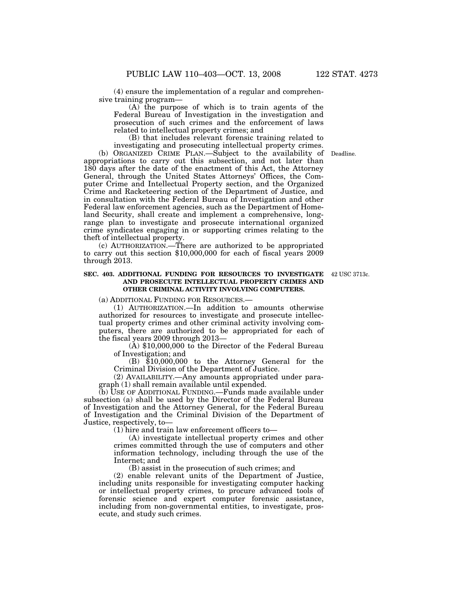(4) ensure the implementation of a regular and comprehensive training program—

(A) the purpose of which is to train agents of the Federal Bureau of Investigation in the investigation and prosecution of such crimes and the enforcement of laws related to intellectual property crimes; and

(B) that includes relevant forensic training related to investigating and prosecuting intellectual property crimes.

(b) ORGANIZED CRIME PLAN.—Subject to the availability of Deadline. appropriations to carry out this subsection, and not later than 180 days after the date of the enactment of this Act, the Attorney General, through the United States Attorneys' Offices, the Computer Crime and Intellectual Property section, and the Organized Crime and Racketeering section of the Department of Justice, and in consultation with the Federal Bureau of Investigation and other Federal law enforcement agencies, such as the Department of Homeland Security, shall create and implement a comprehensive, longrange plan to investigate and prosecute international organized crime syndicates engaging in or supporting crimes relating to the theft of intellectual property.

(c) AUTHORIZATION.—There are authorized to be appropriated to carry out this section \$10,000,000 for each of fiscal years 2009 through 2013.

### **SEC. 403. ADDITIONAL FUNDING FOR RESOURCES TO INVESTIGATE**  42 USC 3713c. **AND PROSECUTE INTELLECTUAL PROPERTY CRIMES AND OTHER CRIMINAL ACTIVITY INVOLVING COMPUTERS.**

(a) ADDITIONAL FUNDING FOR RESOURCES.—

(1) AUTHORIZATION.—In addition to amounts otherwise authorized for resources to investigate and prosecute intellectual property crimes and other criminal activity involving computers, there are authorized to be appropriated for each of the fiscal years 2009 through 2013—

(A) \$10,000,000 to the Director of the Federal Bureau of Investigation; and

(B) \$10,000,000 to the Attorney General for the Criminal Division of the Department of Justice.

(2) AVAILABILITY.—Any amounts appropriated under paragraph (1) shall remain available until expended.

(b) USE OF ADDITIONAL FUNDING.—Funds made available under subsection (a) shall be used by the Director of the Federal Bureau of Investigation and the Attorney General, for the Federal Bureau of Investigation and the Criminal Division of the Department of Justice, respectively, to—

(1) hire and train law enforcement officers to—

(A) investigate intellectual property crimes and other crimes committed through the use of computers and other information technology, including through the use of the Internet; and

(B) assist in the prosecution of such crimes; and

(2) enable relevant units of the Department of Justice, including units responsible for investigating computer hacking or intellectual property crimes, to procure advanced tools of forensic science and expert computer forensic assistance, including from non-governmental entities, to investigate, prosecute, and study such crimes.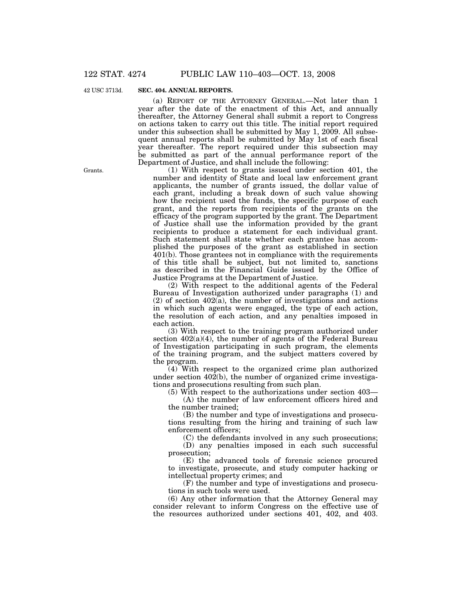42 USC 3713d.

### **SEC. 404. ANNUAL REPORTS.**

(a) REPORT OF THE ATTORNEY GENERAL.—Not later than 1 year after the date of the enactment of this Act, and annually thereafter, the Attorney General shall submit a report to Congress on actions taken to carry out this title. The initial report required under this subsection shall be submitted by May 1, 2009. All subsequent annual reports shall be submitted by May 1st of each fiscal year thereafter. The report required under this subsection may be submitted as part of the annual performance report of the Department of Justice, and shall include the following:

(1) With respect to grants issued under section 401, the number and identity of State and local law enforcement grant applicants, the number of grants issued, the dollar value of each grant, including a break down of such value showing how the recipient used the funds, the specific purpose of each grant, and the reports from recipients of the grants on the efficacy of the program supported by the grant. The Department of Justice shall use the information provided by the grant recipients to produce a statement for each individual grant. Such statement shall state whether each grantee has accomplished the purposes of the grant as established in section 401(b). Those grantees not in compliance with the requirements of this title shall be subject, but not limited to, sanctions as described in the Financial Guide issued by the Office of Justice Programs at the Department of Justice.

(2) With respect to the additional agents of the Federal Bureau of Investigation authorized under paragraphs (1) and  $(2)$  of section  $402(a)$ , the number of investigations and actions in which such agents were engaged, the type of each action, the resolution of each action, and any penalties imposed in each action.

(3) With respect to the training program authorized under section  $402(a)(4)$ , the number of agents of the Federal Bureau of Investigation participating in such program, the elements of the training program, and the subject matters covered by the program.

(4) With respect to the organized crime plan authorized under section  $40\overline{2}$ (b), the number of organized crime investigations and prosecutions resulting from such plan.

(5) With respect to the authorizations under section 403— (A) the number of law enforcement officers hired and

the number trained; (B) the number and type of investigations and prosecutions resulting from the hiring and training of such law enforcement officers;

(C) the defendants involved in any such prosecutions; (D) any penalties imposed in each such successful prosecution;

(E) the advanced tools of forensic science procured to investigate, prosecute, and study computer hacking or intellectual property crimes; and

(F) the number and type of investigations and prosecutions in such tools were used.

(6) Any other information that the Attorney General may consider relevant to inform Congress on the effective use of the resources authorized under sections 401, 402, and 403.

Grants.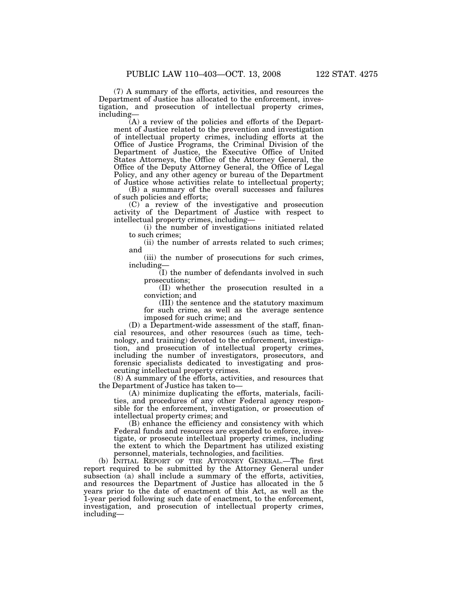(7) A summary of the efforts, activities, and resources the Department of Justice has allocated to the enforcement, investigation, and prosecution of intellectual property crimes, including—

(A) a review of the policies and efforts of the Department of Justice related to the prevention and investigation of intellectual property crimes, including efforts at the Office of Justice Programs, the Criminal Division of the Department of Justice, the Executive Office of United States Attorneys, the Office of the Attorney General, the Office of the Deputy Attorney General, the Office of Legal Policy, and any other agency or bureau of the Department of Justice whose activities relate to intellectual property;

(B) a summary of the overall successes and failures of such policies and efforts;

(C) a review of the investigative and prosecution activity of the Department of Justice with respect to intellectual property crimes, including—

(i) the number of investigations initiated related to such crimes;

(ii) the number of arrests related to such crimes; and

(iii) the number of prosecutions for such crimes, including—

(I) the number of defendants involved in such prosecutions;

(II) whether the prosecution resulted in a conviction; and

(III) the sentence and the statutory maximum for such crime, as well as the average sentence imposed for such crime; and

(D) a Department-wide assessment of the staff, financial resources, and other resources (such as time, technology, and training) devoted to the enforcement, investigation, and prosecution of intellectual property crimes, including the number of investigators, prosecutors, and forensic specialists dedicated to investigating and prosecuting intellectual property crimes.

(8) A summary of the efforts, activities, and resources that the Department of Justice has taken to—

(A) minimize duplicating the efforts, materials, facilities, and procedures of any other Federal agency responsible for the enforcement, investigation, or prosecution of intellectual property crimes; and

(B) enhance the efficiency and consistency with which Federal funds and resources are expended to enforce, investigate, or prosecute intellectual property crimes, including the extent to which the Department has utilized existing personnel, materials, technologies, and facilities.

(b) INITIAL REPORT OF THE ATTORNEY GENERAL.—The first report required to be submitted by the Attorney General under subsection (a) shall include a summary of the efforts, activities, and resources the Department of Justice has allocated in the 5 years prior to the date of enactment of this Act, as well as the 1-year period following such date of enactment, to the enforcement, investigation, and prosecution of intellectual property crimes, including—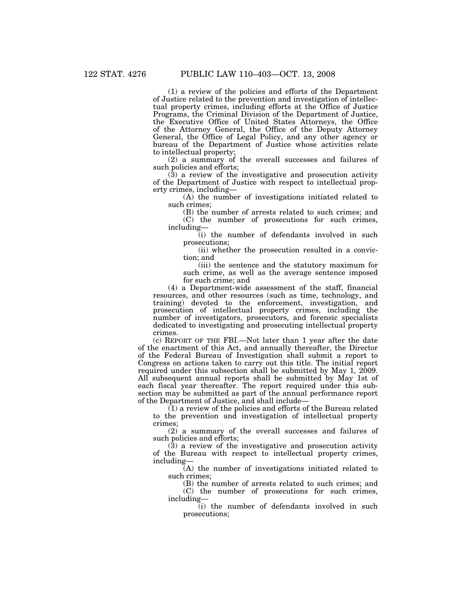(1) a review of the policies and efforts of the Department of Justice related to the prevention and investigation of intellectual property crimes, including efforts at the Office of Justice Programs, the Criminal Division of the Department of Justice, the Executive Office of United States Attorneys, the Office of the Attorney General, the Office of the Deputy Attorney General, the Office of Legal Policy, and any other agency or bureau of the Department of Justice whose activities relate to intellectual property;

(2) a summary of the overall successes and failures of such policies and efforts;

(3) a review of the investigative and prosecution activity of the Department of Justice with respect to intellectual property crimes, including—

(A) the number of investigations initiated related to such crimes;

(B) the number of arrests related to such crimes; and (C) the number of prosecutions for such crimes, including—

(i) the number of defendants involved in such prosecutions;

(ii) whether the prosecution resulted in a conviction; and

(iii) the sentence and the statutory maximum for such crime, as well as the average sentence imposed for such crime; and

(4) a Department-wide assessment of the staff, financial resources, and other resources (such as time, technology, and training) devoted to the enforcement, investigation, and prosecution of intellectual property crimes, including the number of investigators, prosecutors, and forensic specialists dedicated to investigating and prosecuting intellectual property crimes.

(c) REPORT OF THE FBI.—Not later than 1 year after the date of the enactment of this Act, and annually thereafter, the Director of the Federal Bureau of Investigation shall submit a report to Congress on actions taken to carry out this title. The initial report required under this subsection shall be submitted by May 1, 2009. All subsequent annual reports shall be submitted by May 1st of each fiscal year thereafter. The report required under this subsection may be submitted as part of the annual performance report of the Department of Justice, and shall include—

(1) a review of the policies and efforts of the Bureau related to the prevention and investigation of intellectual property crimes;

(2) a summary of the overall successes and failures of such policies and efforts;

 $(3)$  a review of the investigative and prosecution activity of the Bureau with respect to intellectual property crimes, including—

(A) the number of investigations initiated related to such crimes;

(B) the number of arrests related to such crimes; and (C) the number of prosecutions for such crimes, including—

(i) the number of defendants involved in such prosecutions;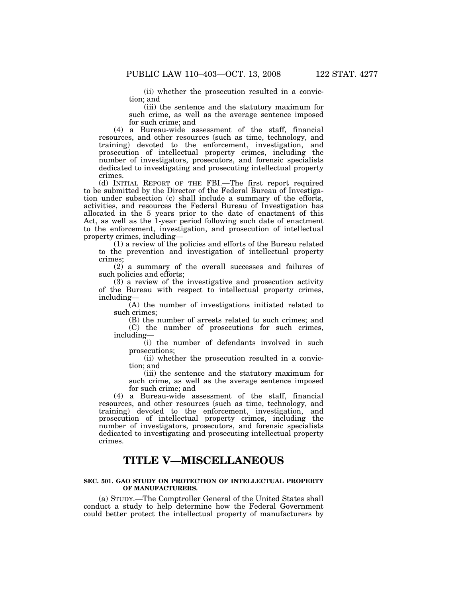(ii) whether the prosecution resulted in a conviction; and

(iii) the sentence and the statutory maximum for such crime, as well as the average sentence imposed for such crime; and

(4) a Bureau-wide assessment of the staff, financial resources, and other resources (such as time, technology, and training) devoted to the enforcement, investigation, and prosecution of intellectual property crimes, including the number of investigators, prosecutors, and forensic specialists dedicated to investigating and prosecuting intellectual property crimes.

(d) INITIAL REPORT OF THE FBI.—The first report required to be submitted by the Director of the Federal Bureau of Investigation under subsection (c) shall include a summary of the efforts, activities, and resources the Federal Bureau of Investigation has allocated in the 5 years prior to the date of enactment of this Act, as well as the 1-year period following such date of enactment to the enforcement, investigation, and prosecution of intellectual property crimes, including—

(1) a review of the policies and efforts of the Bureau related to the prevention and investigation of intellectual property crimes;

(2) a summary of the overall successes and failures of such policies and efforts;

(3) a review of the investigative and prosecution activity of the Bureau with respect to intellectual property crimes, including—

(A) the number of investigations initiated related to such crimes;

(B) the number of arrests related to such crimes; and (C) the number of prosecutions for such crimes, including—

(i) the number of defendants involved in such prosecutions;

(ii) whether the prosecution resulted in a conviction; and

(iii) the sentence and the statutory maximum for such crime, as well as the average sentence imposed for such crime; and

(4) a Bureau-wide assessment of the staff, financial resources, and other resources (such as time, technology, and training) devoted to the enforcement, investigation, and prosecution of intellectual property crimes, including the number of investigators, prosecutors, and forensic specialists dedicated to investigating and prosecuting intellectual property crimes.

# **TITLE V—MISCELLANEOUS**

### **SEC. 501. GAO STUDY ON PROTECTION OF INTELLECTUAL PROPERTY OF MANUFACTURERS.**

(a) STUDY.—The Comptroller General of the United States shall conduct a study to help determine how the Federal Government could better protect the intellectual property of manufacturers by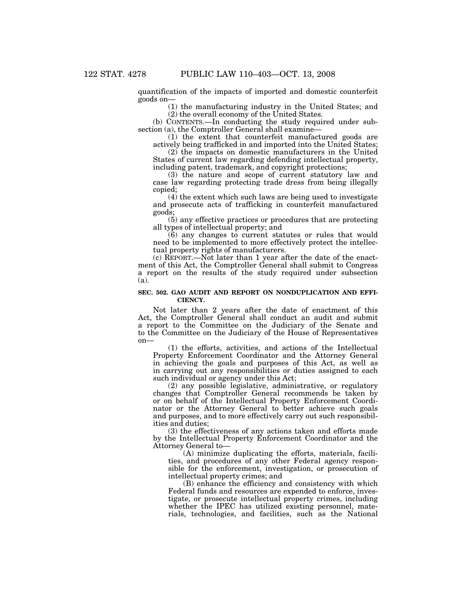quantification of the impacts of imported and domestic counterfeit goods on—

(1) the manufacturing industry in the United States; and (2) the overall economy of the United States.

(b) CONTENTS.—In conducting the study required under subsection (a), the Comptroller General shall examine—

(1) the extent that counterfeit manufactured goods are actively being trafficked in and imported into the United States;

(2) the impacts on domestic manufacturers in the United States of current law regarding defending intellectual property, including patent, trademark, and copyright protections;

(3) the nature and scope of current statutory law and case law regarding protecting trade dress from being illegally copied;

 $(4)$  the extent which such laws are being used to investigate and prosecute acts of trafficking in counterfeit manufactured goods;

(5) any effective practices or procedures that are protecting all types of intellectual property; and

(6) any changes to current statutes or rules that would need to be implemented to more effectively protect the intellectual property rights of manufacturers.

(c) REPORT.—Not later than 1 year after the date of the enactment of this Act, the Comptroller General shall submit to Congress a report on the results of the study required under subsection (a).

### **SEC. 502. GAO AUDIT AND REPORT ON NONDUPLICATION AND EFFI-CIENCY.**

Not later than 2 years after the date of enactment of this Act, the Comptroller General shall conduct an audit and submit a report to the Committee on the Judiciary of the Senate and to the Committee on the Judiciary of the House of Representatives on—

(1) the efforts, activities, and actions of the Intellectual Property Enforcement Coordinator and the Attorney General in achieving the goals and purposes of this Act, as well as in carrying out any responsibilities or duties assigned to each such individual or agency under this Act;

(2) any possible legislative, administrative, or regulatory changes that Comptroller General recommends be taken by or on behalf of the Intellectual Property Enforcement Coordinator or the Attorney General to better achieve such goals and purposes, and to more effectively carry out such responsibilities and duties;

(3) the effectiveness of any actions taken and efforts made by the Intellectual Property Enforcement Coordinator and the Attorney General to—

(A) minimize duplicating the efforts, materials, facilities, and procedures of any other Federal agency responsible for the enforcement, investigation, or prosecution of intellectual property crimes; and

(B) enhance the efficiency and consistency with which Federal funds and resources are expended to enforce, investigate, or prosecute intellectual property crimes, including whether the IPEC has utilized existing personnel, materials, technologies, and facilities, such as the National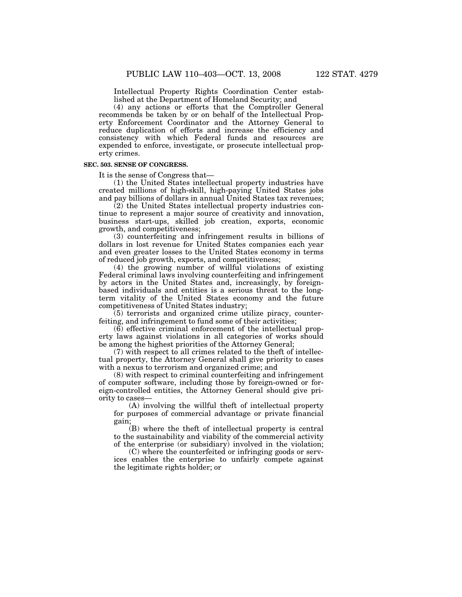Intellectual Property Rights Coordination Center established at the Department of Homeland Security; and

(4) any actions or efforts that the Comptroller General recommends be taken by or on behalf of the Intellectual Property Enforcement Coordinator and the Attorney General to reduce duplication of efforts and increase the efficiency and consistency with which Federal funds and resources are expended to enforce, investigate, or prosecute intellectual property crimes.

### **SEC. 503. SENSE OF CONGRESS.**

It is the sense of Congress that—

(1) the United States intellectual property industries have created millions of high-skill, high-paying United States jobs and pay billions of dollars in annual United States tax revenues;

(2) the United States intellectual property industries continue to represent a major source of creativity and innovation, business start-ups, skilled job creation, exports, economic growth, and competitiveness;

(3) counterfeiting and infringement results in billions of dollars in lost revenue for United States companies each year and even greater losses to the United States economy in terms of reduced job growth, exports, and competitiveness;

(4) the growing number of willful violations of existing Federal criminal laws involving counterfeiting and infringement by actors in the United States and, increasingly, by foreignbased individuals and entities is a serious threat to the longterm vitality of the United States economy and the future competitiveness of United States industry;

(5) terrorists and organized crime utilize piracy, counterfeiting, and infringement to fund some of their activities;

(6) effective criminal enforcement of the intellectual property laws against violations in all categories of works should be among the highest priorities of the Attorney General;

(7) with respect to all crimes related to the theft of intellectual property, the Attorney General shall give priority to cases with a nexus to terrorism and organized crime; and

(8) with respect to criminal counterfeiting and infringement of computer software, including those by foreign-owned or foreign-controlled entities, the Attorney General should give priority to cases—

(A) involving the willful theft of intellectual property for purposes of commercial advantage or private financial gain;

(B) where the theft of intellectual property is central to the sustainability and viability of the commercial activity of the enterprise (or subsidiary) involved in the violation;

(C) where the counterfeited or infringing goods or services enables the enterprise to unfairly compete against the legitimate rights holder; or